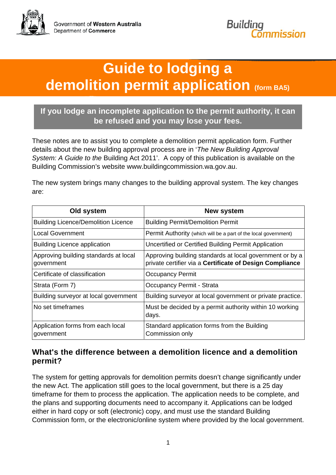

# **Guide to lodging a demolition permit application (form BA5)**

#### **If you lodge an incomplete application to the permit authority, it can be refused and you may lose your fees.**

These notes are to assist you to complete a demolition permit application form. Further details about the new building approval process are in '*The New Building Approval System: A Guide to the* Building Act 2011'. A copy of this publication is available on the Building Commission's website www.buildingcommission.wa.gov.au.

The new system brings many changes to the building approval system. The key changes are:

| Old system                                          | <b>New system</b>                                                                                                    |
|-----------------------------------------------------|----------------------------------------------------------------------------------------------------------------------|
| <b>Building Licence/Demolition Licence</b>          | <b>Building Permit/Demolition Permit</b>                                                                             |
| <b>Local Government</b>                             | Permit Authority (which will be a part of the local government)                                                      |
| <b>Building Licence application</b>                 | Uncertified or Certified Building Permit Application                                                                 |
| Approving building standards at local<br>government | Approving building standards at local government or by a<br>private certifier via a Certificate of Design Compliance |
| Certificate of classification                       | <b>Occupancy Permit</b>                                                                                              |
| Strata (Form 7)                                     | Occupancy Permit - Strata                                                                                            |
| Building surveyor at local government               | Building surveyor at local government or private practice.                                                           |
| No set timeframes                                   | Must be decided by a permit authority within 10 working<br>days.                                                     |
| Application forms from each local<br>government     | Standard application forms from the Building<br>Commission only                                                      |

#### **What's the difference between a demolition licence and a demolition permit?**

The system for getting approvals for demolition permits doesn't change significantly under the new Act. The application still goes to the local government, but there is a 25 day timeframe for them to process the application. The application needs to be complete, and the plans and supporting documents need to accompany it. Applications can be lodged either in hard copy or soft (electronic) copy, and must use the standard Building Commission form, or the electronic/online system where provided by the local government.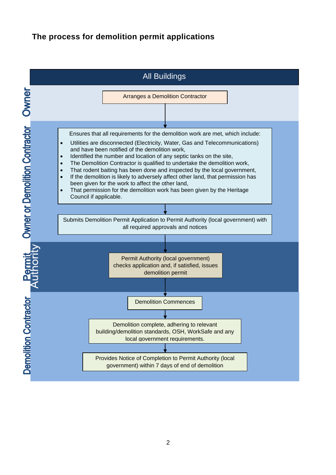#### **The process for demolition permit applications**

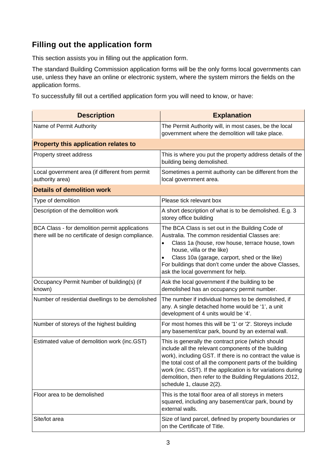### **Filling out the application form**

This section assists you in filling out the application form.

The standard Building Commission application forms will be the only forms local governments can use, unless they have an online or electronic system, where the system mirrors the fields on the application forms.

To successfully fill out a certified application form you will need to know, or have:

| <b>Description</b>                                                                                   | <b>Explanation</b>                                                                                                                                                                                                                                                                                                                                                                           |
|------------------------------------------------------------------------------------------------------|----------------------------------------------------------------------------------------------------------------------------------------------------------------------------------------------------------------------------------------------------------------------------------------------------------------------------------------------------------------------------------------------|
| Name of Permit Authority                                                                             | The Permit Authority will, in most cases, be the local<br>government where the demolition will take place.                                                                                                                                                                                                                                                                                   |
| Property this application relates to                                                                 |                                                                                                                                                                                                                                                                                                                                                                                              |
| Property street address                                                                              | This is where you put the property address details of the<br>building being demolished.                                                                                                                                                                                                                                                                                                      |
| Local government area (if different from permit<br>authority area)                                   | Sometimes a permit authority can be different from the<br>local government area.                                                                                                                                                                                                                                                                                                             |
| <b>Details of demolition work</b>                                                                    |                                                                                                                                                                                                                                                                                                                                                                                              |
| Type of demolition                                                                                   | Please tick relevant box                                                                                                                                                                                                                                                                                                                                                                     |
| Description of the demolition work                                                                   | A short description of what is to be demolished. E.g. 3<br>storey office building                                                                                                                                                                                                                                                                                                            |
| BCA Class - for demolition permit applications<br>there will be no certificate of design compliance. | The BCA Class is set out in the Building Code of<br>Australia. The common residential Classes are:<br>Class 1a (house, row house, terrace house, town<br>house, villa or the like)<br>Class 10a (garage, carport, shed or the like)<br>$\bullet$<br>For buildings that don't come under the above Classes,<br>ask the local government for help.                                             |
| Occupancy Permit Number of building(s) (if<br>known)                                                 | Ask the local government if the building to be<br>demolished has an occupancy permit number.                                                                                                                                                                                                                                                                                                 |
| Number of residential dwellings to be demolished                                                     | The number if individual homes to be demolished, if<br>any. A single detached home would be '1', a unit<br>development of 4 units would be '4'.                                                                                                                                                                                                                                              |
| Number of storeys of the highest building                                                            | For most homes this will be '1' or '2'. Storeys include<br>any basement/car park, bound by an external wall.                                                                                                                                                                                                                                                                                 |
| Estimated value of demolition work (inc.GST)                                                         | This is generally the contract price (which should<br>include all the relevant components of the building<br>work), including GST. If there is no contract the value is<br>the total cost of all the component parts of the building<br>work (inc. GST). If the application is for variations during<br>demolition, then refer to the Building Regulations 2012,<br>schedule 1, clause 2(2). |
| Floor area to be demolished                                                                          | This is the total floor area of all storeys in meters<br>squared, including any basement/car park, bound by<br>external walls.                                                                                                                                                                                                                                                               |
| Site/lot area                                                                                        | Size of land parcel, defined by property boundaries or<br>on the Certificate of Title.                                                                                                                                                                                                                                                                                                       |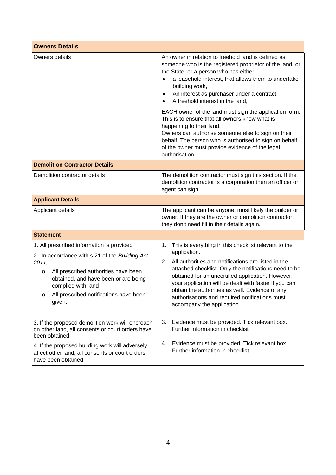| <b>Owners Details</b>                                                                                                                                                                                                                                                     |                                                                                                                                                                                                                                                                                                                                                                                                                                                   |  |  |
|---------------------------------------------------------------------------------------------------------------------------------------------------------------------------------------------------------------------------------------------------------------------------|---------------------------------------------------------------------------------------------------------------------------------------------------------------------------------------------------------------------------------------------------------------------------------------------------------------------------------------------------------------------------------------------------------------------------------------------------|--|--|
| Owners details                                                                                                                                                                                                                                                            | An owner in relation to freehold land is defined as<br>someone who is the registered proprietor of the land, or<br>the State, or a person who has either:<br>a leasehold interest, that allows them to undertake<br>building work,<br>An interest as purchaser under a contract,<br>$\bullet$<br>A freehold interest in the land,<br>$\bullet$                                                                                                    |  |  |
|                                                                                                                                                                                                                                                                           | EACH owner of the land must sign the application form.<br>This is to ensure that all owners know what is<br>happening to their land.<br>Owners can authorise someone else to sign on their<br>behalf. The person who is authorised to sign on behalf<br>of the owner must provide evidence of the legal<br>authorisation.                                                                                                                         |  |  |
| <b>Demolition Contractor Details</b>                                                                                                                                                                                                                                      |                                                                                                                                                                                                                                                                                                                                                                                                                                                   |  |  |
| Demolition contractor details                                                                                                                                                                                                                                             | The demolition contractor must sign this section. If the<br>demolition contractor is a corporation then an officer or<br>agent can sign.                                                                                                                                                                                                                                                                                                          |  |  |
| <b>Applicant Details</b>                                                                                                                                                                                                                                                  |                                                                                                                                                                                                                                                                                                                                                                                                                                                   |  |  |
| Applicant details                                                                                                                                                                                                                                                         | The applicant can be anyone, most likely the builder or<br>owner. If they are the owner or demolition contractor,<br>they don't need fill in their details again.                                                                                                                                                                                                                                                                                 |  |  |
| <b>Statement</b>                                                                                                                                                                                                                                                          |                                                                                                                                                                                                                                                                                                                                                                                                                                                   |  |  |
| 1. All prescribed information is provided<br>2. In accordance with s.21 of the Building Act<br>2011,<br>All prescribed authorities have been<br>$\circ$<br>obtained, and have been or are being<br>complied with; and<br>All prescribed notifications have been<br>given. | This is everything in this checklist relevant to the<br>1.<br>application.<br>2.<br>All authorities and notifications are listed in the<br>attached checklist. Only the notifications need to be<br>obtained for an uncertified application. However,<br>your application will be dealt with faster if you can<br>obtain the authorities as well. Evidence of any<br>authorisations and required notifications must<br>accompany the application. |  |  |
| 3. If the proposed demolition work will encroach<br>on other land, all consents or court orders have<br>been obtained                                                                                                                                                     | Evidence must be provided. Tick relevant box.<br>3.<br>Further information in checklist                                                                                                                                                                                                                                                                                                                                                           |  |  |
| 4. If the proposed building work will adversely<br>affect other land, all consents or court orders<br>have been obtained.                                                                                                                                                 | Evidence must be provided. Tick relevant box.<br>4.<br>Further information in checklist.                                                                                                                                                                                                                                                                                                                                                          |  |  |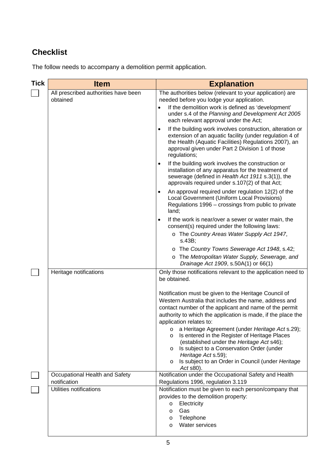## **Checklist**

The follow needs to accompany a demolition permit application.

| <b>Tick</b> | <b>Item</b>                                      | <b>Explanation</b>                                                                                                                                                                                                                                            |
|-------------|--------------------------------------------------|---------------------------------------------------------------------------------------------------------------------------------------------------------------------------------------------------------------------------------------------------------------|
|             | All prescribed authorities have been<br>obtained | The authorities below (relevant to your application) are<br>needed before you lodge your application.<br>If the demolition work is defined as 'development'<br>under s.4 of the Planning and Development Act 2005<br>each relevant approval under the Act;    |
|             |                                                  | If the building work involves construction, alteration or<br>$\bullet$<br>extension of an aquatic facility (under regulation 4 of<br>the Health (Aquatic Facilities) Regulations 2007), an<br>approval given under Part 2 Division 1 of those<br>regulations; |
|             |                                                  | If the building work involves the construction or<br>$\bullet$<br>installation of any apparatus for the treatment of<br>sewerage (defined in Health Act 1911 s.3(1)), the<br>approvals required under s.107(2) of that Act;                                   |
|             |                                                  | An approval required under regulation 12(2) of the<br>$\bullet$<br>Local Government (Uniform Local Provisions)<br>Regulations 1996 - crossings from public to private<br>land;                                                                                |
|             |                                                  | If the work is near/over a sewer or water main, the<br>$\bullet$<br>consent(s) required under the following laws:                                                                                                                                             |
|             |                                                  | o The Country Areas Water Supply Act 1947,<br>s.43B;                                                                                                                                                                                                          |
|             |                                                  | o The Country Towns Sewerage Act 1948, s.42;                                                                                                                                                                                                                  |
|             |                                                  | o The Metropolitan Water Supply, Sewerage, and<br>Drainage Act 1909, s.50A(1) or 66(1)                                                                                                                                                                        |
|             | Heritage notifications                           | Only those notifications relevant to the application need to<br>be obtained.                                                                                                                                                                                  |
|             |                                                  | Notification must be given to the Heritage Council of<br>Western Australia that includes the name, address and                                                                                                                                                |
|             |                                                  | contact number of the applicant and name of the permit                                                                                                                                                                                                        |
|             |                                                  | authority to which the application is made, if the place the<br>application relates to:                                                                                                                                                                       |
|             |                                                  | o a Heritage Agreement (under Heritage Act s.29);<br>Is entered in the Register of Heritage Places<br>O<br>(established under the Heritage Act s46);<br>Is subject to a Conservation Order (under<br>O                                                        |
|             |                                                  | Heritage Act s.59);<br>Is subject to an Order in Council (under Heritage<br>O<br>Act s80).                                                                                                                                                                    |
|             | Occupational Health and Safety                   | Notification under the Occupational Safety and Health                                                                                                                                                                                                         |
|             | notification                                     | Regulations 1996, regulation 3.119                                                                                                                                                                                                                            |
|             | Utilities notifications                          | Notification must be given to each person/company that<br>provides to the demolition property:                                                                                                                                                                |
|             |                                                  | Electricity<br>$\circ$                                                                                                                                                                                                                                        |
|             |                                                  | Gas<br>$\circ$                                                                                                                                                                                                                                                |
|             |                                                  | Telephone<br>$\circ$<br><b>Water services</b><br>$\circ$                                                                                                                                                                                                      |
|             |                                                  |                                                                                                                                                                                                                                                               |